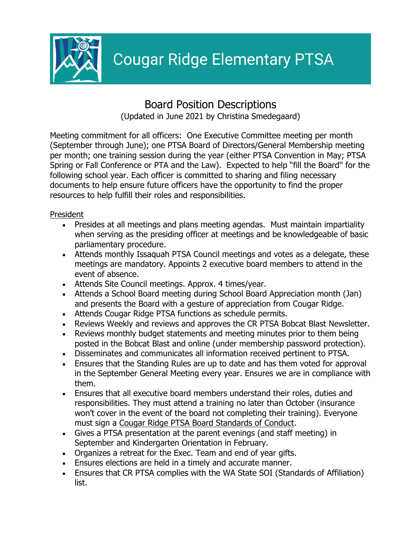

# Board Position Descriptions (Updated in June 2021 by Christina Smedegaard)

Meeting commitment for all officers: One Executive Committee meeting per month (September through June); one PTSA Board of Directors/General Membership meeting per month; one training session during the year (either PTSA Convention in May; PTSA Spring or Fall Conference or PTA and the Law). Expected to help "fill the Board'' for the following school year. Each officer is committed to sharing and filing necessary documents to help ensure future officers have the opportunity to find the proper resources to help fulfill their roles and responsibilities.

## President

- Presides at all meetings and plans meeting agendas. Must maintain impartiality when serving as the presiding officer at meetings and be knowledgeable of basic parliamentary procedure.
- Attends monthly Issaquah PTSA Council meetings and votes as a delegate, these meetings are mandatory. Appoints 2 executive board members to attend in the event of absence.
- Attends Site Council meetings. Approx. 4 times/year.
- Attends a School Board meeting during School Board Appreciation month (Jan) and presents the Board with a gesture of appreciation from Cougar Ridge.
- Attends Cougar Ridge PTSA functions as schedule permits.
- Reviews Weekly and reviews and approves the CR PTSA Bobcat Blast Newsletter.
- Reviews monthly budget statements and meeting minutes prior to them being posted in the Bobcat Blast and online (under membership password protection).
- Disseminates and communicates all information received pertinent to PTSA.
- Ensures that the Standing Rules are up to date and has them voted for approval in the September General Meeting every year. Ensures we are in compliance with them.
- Ensures that all executive board members understand their roles, duties and responsibilities. They must attend a training no later than October (insurance won't cover in the event of the board not completing their training). Everyone must sign a Cougar Ridge PTSA Board Standards of Conduct.
- Gives a PTSA presentation at the parent evenings (and staff meeting) in September and Kindergarten Orientation in February.
- Organizes a retreat for the Exec. Team and end of year gifts.
- Ensures elections are held in a timely and accurate manner.
- Ensures that CR PTSA complies with the WA State SOI (Standards of Affiliation) list.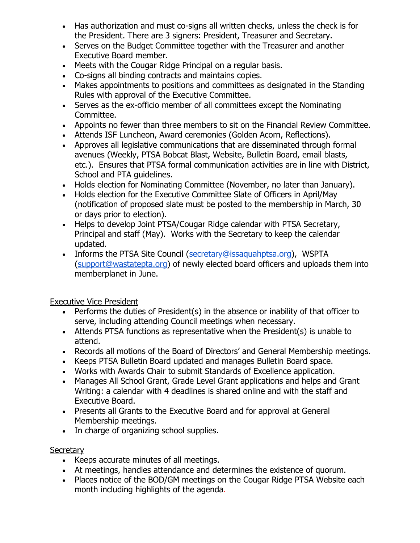- Has authorization and must co-signs all written checks, unless the check is for the President. There are 3 signers: President, Treasurer and Secretary.
- Serves on the Budget Committee together with the Treasurer and another Executive Board member.
- Meets with the Cougar Ridge Principal on a regular basis.
- Co-signs all binding contracts and maintains copies.
- Makes appointments to positions and committees as designated in the Standing Rules with approval of the Executive Committee.
- Serves as the ex-officio member of all committees except the Nominating Committee.
- Appoints no fewer than three members to sit on the Financial Review Committee.
- Attends ISF Luncheon, Award ceremonies (Golden Acorn, Reflections).
- Approves all legislative communications that are disseminated through formal avenues (Weekly, PTSA Bobcat Blast, Website, Bulletin Board, email blasts, etc.). Ensures that PTSA formal communication activities are in line with District, School and PTA guidelines.
- Holds election for Nominating Committee (November, no later than January).
- Holds election for the Executive Committee Slate of Officers in April/May (notification of proposed slate must be posted to the membership in March, 30 or days prior to election).
- Helps to develop Joint PTSA/Cougar Ridge calendar with PTSA Secretary, Principal and staff (May). Works with the Secretary to keep the calendar updated.
- Informs the PTSA Site Council (secretary@issaquahptsa.org), WSPTA (support@wastatepta.org) of newly elected board officers and uploads them into memberplanet in June.

Executive Vice President

- Performs the duties of President(s) in the absence or inability of that officer to serve, including attending Council meetings when necessary.
- Attends PTSA functions as representative when the President(s) is unable to attend.
- Records all motions of the Board of Directors' and General Membership meetings.
- Keeps PTSA Bulletin Board updated and manages Bulletin Board space.
- Works with Awards Chair to submit Standards of Excellence application.
- Manages All School Grant, Grade Level Grant applications and helps and Grant Writing: a calendar with 4 deadlines is shared online and with the staff and Executive Board.
- Presents all Grants to the Executive Board and for approval at General Membership meetings.
- In charge of organizing school supplies.

# **Secretary**

- Keeps accurate minutes of all meetings.
- At meetings, handles attendance and determines the existence of quorum.
- Places notice of the BOD/GM meetings on the Cougar Ridge PTSA Website each month including highlights of the agenda.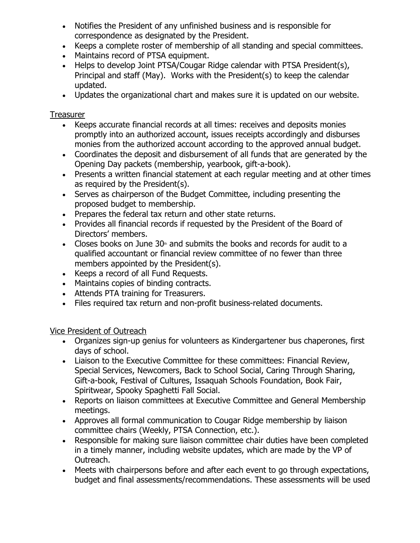- Notifies the President of any unfinished business and is responsible for correspondence as designated by the President.
- Keeps a complete roster of membership of all standing and special committees.
- Maintains record of PTSA equipment.
- Helps to develop Joint PTSA/Cougar Ridge calendar with PTSA President(s), Principal and staff (May). Works with the President(s) to keep the calendar updated.
- Updates the organizational chart and makes sure it is updated on our website.

#### **Treasurer**

- Keeps accurate financial records at all times: receives and deposits monies promptly into an authorized account, issues receipts accordingly and disburses monies from the authorized account according to the approved annual budget.
- Coordinates the deposit and disbursement of all funds that are generated by the Opening Day packets (membership, yearbook, gift-a-book).
- Presents a written financial statement at each regular meeting and at other times as required by the President(s).
- Serves as chairperson of the Budget Committee, including presenting the proposed budget to membership.
- Prepares the federal tax return and other state returns.
- Provides all financial records if requested by the President of the Board of Directors' members.
- Closes books on June 30 $\text{m}$  and submits the books and records for audit to a qualified accountant or financial review committee of no fewer than three members appointed by the President(s).
- Keeps a record of all Fund Requests.
- Maintains copies of binding contracts.
- Attends PTA training for Treasurers.
- Files required tax return and non-profit business-related documents.

#### Vice President of Outreach

- Organizes sign-up genius for volunteers as Kindergartener bus chaperones, first days of school.
- Liaison to the Executive Committee for these committees: Financial Review, Special Services, Newcomers, Back to School Social, Caring Through Sharing, Gift-a-book, Festival of Cultures, Issaquah Schools Foundation, Book Fair, Spiritwear, Spooky Spaghetti Fall Social.
- Reports on liaison committees at Executive Committee and General Membership meetings.
- Approves all formal communication to Cougar Ridge membership by liaison committee chairs (Weekly, PTSA Connection, etc.).
- Responsible for making sure liaison committee chair duties have been completed in a timely manner, including website updates, which are made by the VP of Outreach.
- Meets with chairpersons before and after each event to go through expectations, budget and final assessments/recommendations. These assessments will be used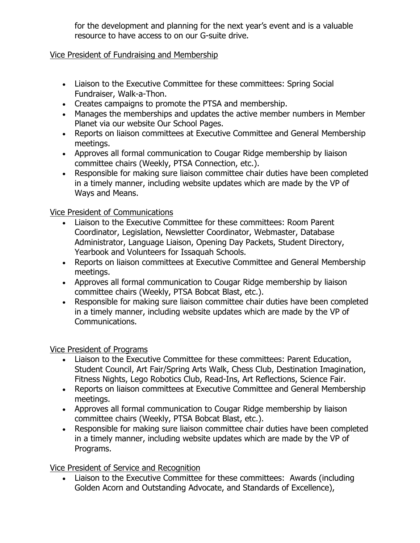for the development and planning for the next year's event and is a valuable resource to have access to on our G-suite drive.

## Vice President of Fundraising and Membership

- Liaison to the Executive Committee for these committees: Spring Social Fundraiser, Walk-a-Thon.
- Creates campaigns to promote the PTSA and membership.
- Manages the memberships and updates the active member numbers in Member Planet via our website Our School Pages.
- Reports on liaison committees at Executive Committee and General Membership meetings.
- Approves all formal communication to Cougar Ridge membership by liaison committee chairs (Weekly, PTSA Connection, etc.).
- Responsible for making sure liaison committee chair duties have been completed in a timely manner, including website updates which are made by the VP of Ways and Means.

## Vice President of Communications

- Liaison to the Executive Committee for these committees: Room Parent Coordinator, Legislation, Newsletter Coordinator, Webmaster, Database Administrator, Language Liaison, Opening Day Packets, Student Directory, Yearbook and Volunteers for Issaquah Schools.
- Reports on liaison committees at Executive Committee and General Membership meetings.
- Approves all formal communication to Cougar Ridge membership by liaison committee chairs (Weekly, PTSA Bobcat Blast, etc.).
- Responsible for making sure liaison committee chair duties have been completed in a timely manner, including website updates which are made by the VP of Communications.

#### Vice President of Programs

- Liaison to the Executive Committee for these committees: Parent Education, Student Council, Art Fair/Spring Arts Walk, Chess Club, Destination Imagination, Fitness Nights, Lego Robotics Club, Read-Ins, Art Reflections, Science Fair.
- Reports on liaison committees at Executive Committee and General Membership meetings.
- Approves all formal communication to Cougar Ridge membership by liaison committee chairs (Weekly, PTSA Bobcat Blast, etc.).
- Responsible for making sure liaison committee chair duties have been completed in a timely manner, including website updates which are made by the VP of Programs.

# Vice President of Service and Recognition

• Liaison to the Executive Committee for these committees: Awards (including Golden Acorn and Outstanding Advocate, and Standards of Excellence),